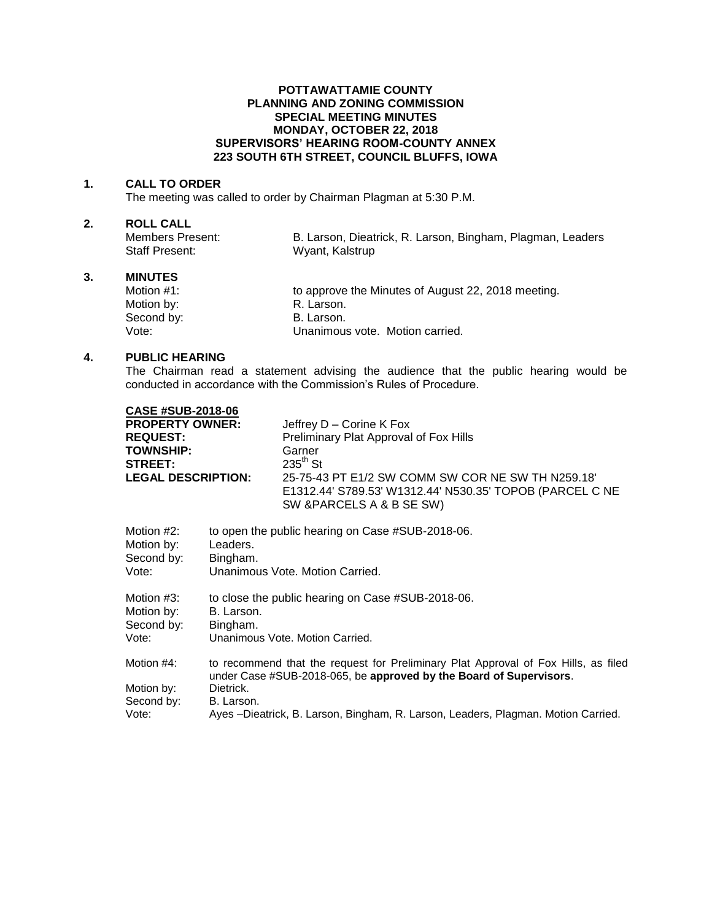### **POTTAWATTAMIE COUNTY PLANNING AND ZONING COMMISSION SPECIAL MEETING MINUTES MONDAY, OCTOBER 22, 2018 SUPERVISORS' HEARING ROOM-COUNTY ANNEX 223 SOUTH 6TH STREET, COUNCIL BLUFFS, IOWA**

#### **1. CALL TO ORDER**

The meeting was called to order by Chairman Plagman at 5:30 P.M.

# **2. ROLL CALL**

Members Present: B. Larson, Dieatrick, R. Larson, Bingham, Plagman, Leaders<br>Staff Present: Wyant, Kalstrup Wyant, Kalstrup

# **3. MINUTES**

to approve the Minutes of August 22, 2018 meeting. Motion by: <br>
Second by: Second by: B. Larson. Second by:<br>Vote: Unanimous vote. Motion carried.

## **4. PUBLIC HEARING**

The Chairman read a statement advising the audience that the public hearing would be conducted in accordance with the Commission's Rules of Procedure.

|                                                                                                                                                          | Jeffrey D - Corine K Fox<br>Preliminary Plat Approval of Fox Hills<br>Garner<br>$235^{\text{th}}$ St<br>25-75-43 PT E1/2 SW COMM SW COR NE SW TH N259.18<br>E1312.44' S789.53' W1312.44' N530.35' TOPOB (PARCEL C NE<br>SW & PARCELS A & B SE SW) |
|----------------------------------------------------------------------------------------------------------------------------------------------------------|---------------------------------------------------------------------------------------------------------------------------------------------------------------------------------------------------------------------------------------------------|
| Leaders.<br>Bingham.                                                                                                                                     | to open the public hearing on Case #SUB-2018-06.<br>Unanimous Vote. Motion Carried.                                                                                                                                                               |
| Motion #3:<br>to close the public hearing on Case #SUB-2018-06.<br>Motion by:<br>B. Larson.<br>Second by:<br>Bingham.<br>Unanimous Vote, Motion Carried. |                                                                                                                                                                                                                                                   |
| Dietrick.<br>B. Larson.                                                                                                                                  | to recommend that the request for Preliminary Plat Approval of Fox Hills, as filed<br>under Case #SUB-2018-065, be approved by the Board of Supervisors.<br>Ayes –Dieatrick, B. Larson, Bingham, R. Larson, Leaders, Plagman. Motion Carried.     |
|                                                                                                                                                          | <b>CASE #SUB-2018-06</b><br><b>PROPERTY OWNER:</b><br><b>LEGAL DESCRIPTION:</b>                                                                                                                                                                   |